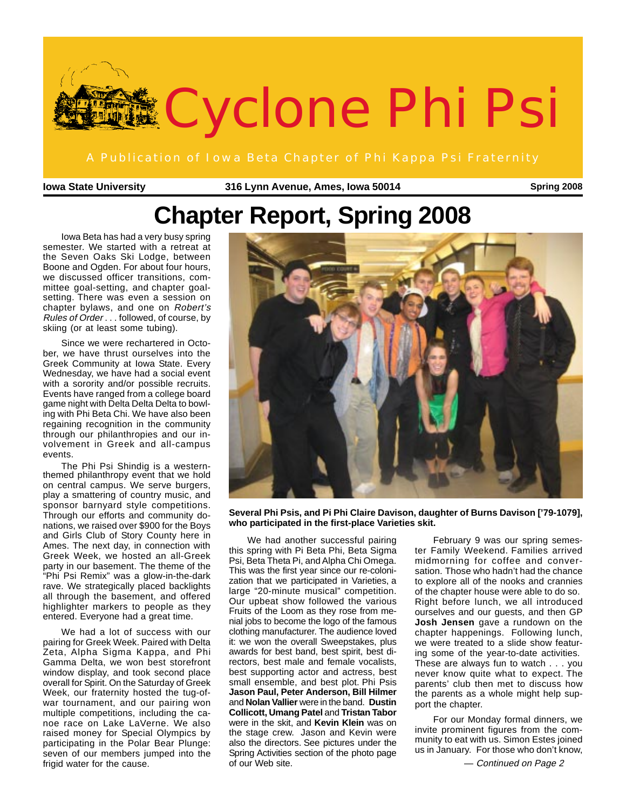

**Iowa State University 316 Lynn Avenue, Ames, Iowa 50014 Spring 2008**

# **Chapter Report, Spring 2008**

Iowa Beta has had a very busy spring semester. We started with a retreat at the Seven Oaks Ski Lodge, between Boone and Ogden. For about four hours, we discussed officer transitions, committee goal-setting, and chapter goalsetting. There was even a session on chapter bylaws, and one on Robert's Rules of Order . . . followed, of course, by skiing (or at least some tubing).

Since we were rechartered in October, we have thrust ourselves into the Greek Community at Iowa State. Every Wednesday, we have had a social event with a sorority and/or possible recruits. Events have ranged from a college board game night with Delta Delta Delta to bowling with Phi Beta Chi. We have also been regaining recognition in the community through our philanthropies and our involvement in Greek and all-campus events.

The Phi Psi Shindig is a western- themed philanthropy event that we hold on central campus. We serve burgers, play a smattering of country music, and sponsor barnyard style competitions. Through our efforts and community donations, we raised over \$900 for the Boys and Girls Club of Story County here in Ames. The next day, in connection with Greek Week, we hosted an all-Greek party in our basement. The theme of the "Phi Psi Remix" was a glow-in-the-dark rave. We strategically placed backlights all through the basement, and offered highlighter markers to people as they entered. Everyone had a great time.

We had a lot of success with our pairing for Greek Week. Paired with Delta Zeta, Alpha Sigma Kappa, and Phi Gamma Delta, we won best storefront window display, and took second place overall for Spirit. On the Saturday of Greek Week, our fraternity hosted the tug-ofwar tournament, and our pairing won multiple competitions, including the canoe race on Lake LaVerne. We also raised money for Special Olympics by participating in the Polar Bear Plunge: seven of our members jumped into the frigid water for the cause.



**Several Phi Psis, and Pi Phi Claire Davison, daughter of Burns Davison ['79-1079], who participated in the first-place Varieties skit.**

We had another successful pairing this spring with Pi Beta Phi, Beta Sigma Psi, Beta Theta Pi, and Alpha Chi Omega. This was the first year since our re-colonization that we participated in Varieties, a large "20-minute musical" competition. Our upbeat show followed the various Fruits of the Loom as they rose from menial jobs to become the logo of the famous clothing manufacturer. The audience loved it: we won the overall Sweepstakes, plus awards for best band, best spirit, best directors, best male and female vocalists, best supporting actor and actress, best small ensemble, and best plot. Phi Psis **Jason Paul, Peter Anderson, Bill Hilmer** and **Nolan Vallier** were in the band. **Dustin Collicott, Umang Patel** and **Tristan Tabor** were in the skit, and **Kevin Klein** was on the stage crew. Jason and Kevin were also the directors. See pictures under the Spring Activities section of the photo page of our Web site.

February 9 was our spring semester Family Weekend. Families arrived midmorning for coffee and conversation. Those who hadn't had the chance to explore all of the nooks and crannies of the chapter house were able to do so. Right before lunch, we all introduced ourselves and our guests, and then GP **Josh Jensen** gave a rundown on the chapter happenings. Following lunch, we were treated to a slide show featuring some of the year-to-date activities. These are always fun to watch . . . you never know quite what to expect. The parents' club then met to discuss how the parents as a whole might help support the chapter.

For our Monday formal dinners, we invite prominent figures from the community to eat with us. Simon Estes joined us in January. For those who don't know,

— Continued on Page 2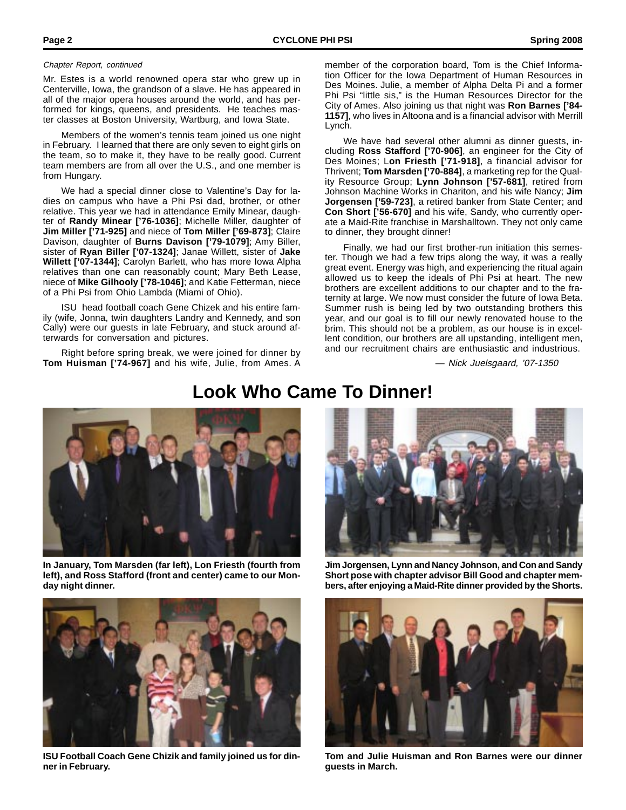#### Chapter Report, continued

Mr. Estes is a world renowned opera star who grew up in Centerville, Iowa, the grandson of a slave. He has appeared in all of the major opera houses around the world, and has performed for kings, queens, and presidents. He teaches master classes at Boston University, Wartburg, and Iowa State.

Members of the women's tennis team joined us one night in February. I learned that there are only seven to eight girls on the team, so to make it, they have to be really good. Current team members are from all over the U.S., and one member is from Hungary.

We had a special dinner close to Valentine's Day for ladies on campus who have a Phi Psi dad, brother, or other relative. This year we had in attendance Emily Minear, daughter of **Randy Minear ['76-1036]**; Michelle Miller, daughter of **Jim Miller ['71-925]** and niece of **Tom Miller ['69-873]**; Claire Davison, daughter of **Burns Davison ['79-1079]**; Amy Biller, sister of **Ryan Biller ['07-1324]**; Janae Willett, sister of **Jake Willett ['07-1344]**; Carolyn Barlett, who has more Iowa Alpha relatives than one can reasonably count; Mary Beth Lease, niece of **Mike Gilhooly ['78-1046]**; and Katie Fetterman, niece of a Phi Psi from Ohio Lambda (Miami of Ohio).

ISU head football coach Gene Chizek and his entire family (wife, Jonna, twin daughters Landry and Kennedy, and son Cally) were our guests in late February, and stuck around afterwards for conversation and pictures.

Right before spring break, we were joined for dinner by **Tom Huisman ['74-967]** and his wife, Julie, from Ames. A member of the corporation board, Tom is the Chief Information Officer for the Iowa Department of Human Resources in Des Moines. Julie, a member of Alpha Delta Pi and a former Phi Psi "little sis," is the Human Resources Director for the City of Ames. Also joining us that night was **Ron Barnes ['84- 1157]**, who lives in Altoona and is a financial advisor with Merrill Lynch.

We have had several other alumni as dinner guests, including **Ross Stafford ['70-906]**, an engineer for the City of Des Moines; L**on Friesth ['71-918]**, a financial advisor for Thrivent; **Tom Marsden ['70-884]**, a marketing rep for the Quality Resource Group; **Lynn Johnson ['57-681]**, retired from Johnson Machine Works in Chariton, and his wife Nancy; **Jim Jorgensen ['59-723]**, a retired banker from State Center; and **Con Short ['56-670]** and his wife, Sandy, who currently operate a Maid-Rite franchise in Marshalltown. They not only came to dinner, they brought dinner!

Finally, we had our first brother-run initiation this semester. Though we had a few trips along the way, it was a really great event. Energy was high, and experiencing the ritual again allowed us to keep the ideals of Phi Psi at heart. The new brothers are excellent additions to our chapter and to the fraternity at large. We now must consider the future of Iowa Beta. Summer rush is being led by two outstanding brothers this year, and our goal is to fill our newly renovated house to the brim. This should not be a problem, as our house is in excellent condition, our brothers are all upstanding, intelligent men, and our recruitment chairs are enthusiastic and industrious.

— Nick Juelsgaard, '07-1350



# **Look Who Came To Dinner!**



**In January, Tom Marsden (far left), Lon Friesth (fourth from left), and Ross Stafford (front and center) came to our Monday night dinner.**



**ISU Football Coach Gene Chizik and family joined us for dinner in February.**

**Jim Jorgensen, Lynn and Nancy Johnson, and Con and Sandy Short pose with chapter advisor Bill Good and chapter members, after enjoying a Maid-Rite dinner provided by the Shorts.**



**Tom and Julie Huisman and Ron Barnes were our dinner guests in March.**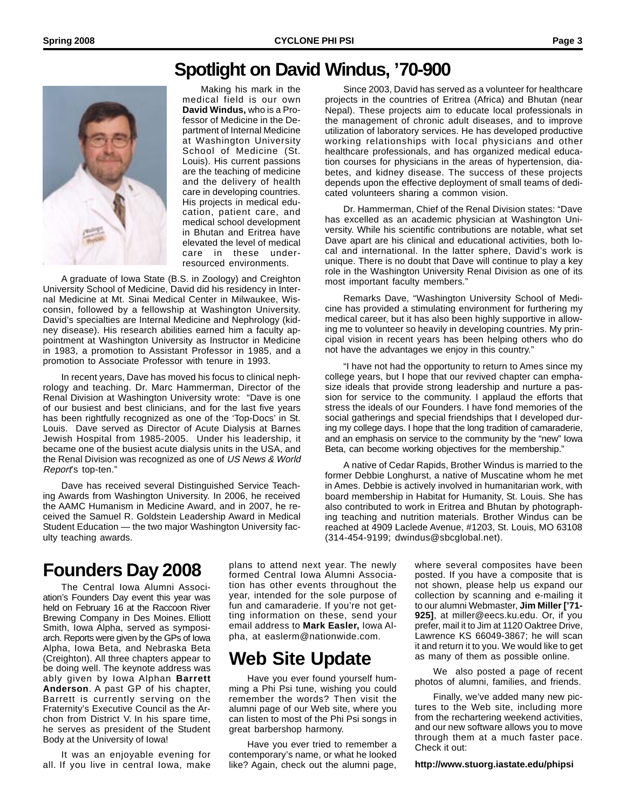### **Spotlight on David Windus, '70-900**



Making his mark in the medical field is our own **David Windus,** who is a Professor of Medicine in the Department of Internal Medicine at Washington University School of Medicine (St. Louis). His current passions are the teaching of medicine and the delivery of health care in developing countries. His projects in medical education, patient care, and medical school development in Bhutan and Eritrea have elevated the level of medical care in these underresourced environments.

A graduate of Iowa State (B.S. in Zoology) and Creighton University School of Medicine, David did his residency in Internal Medicine at Mt. Sinai Medical Center in Milwaukee, Wisconsin, followed by a fellowship at Washington University. David's specialties are Internal Medicine and Nephrology (kidney disease). His research abilities earned him a faculty appointment at Washington University as Instructor in Medicine in 1983, a promotion to Assistant Professor in 1985, and a promotion to Associate Professor with tenure in 1993.

In recent years, Dave has moved his focus to clinical nephrology and teaching. Dr. Marc Hammerman, Director of the Renal Division at Washington University wrote: "Dave is one of our busiest and best clinicians, and for the last five years has been rightfully recognized as one of the 'Top-Docs' in St. Louis. Dave served as Director of Acute Dialysis at Barnes Jewish Hospital from 1985-2005. Under his leadership, it became one of the busiest acute dialysis units in the USA, and the Renal Division was recognized as one of US News & World Report's top-ten."

Dave has received several Distinguished Service Teaching Awards from Washington University. In 2006, he received the AAMC Humanism in Medicine Award, and in 2007, he received the Samuel R. Goldstein Leadership Award in Medical Student Education — the two major Washington University faculty teaching awards.

#### Since 2003, David has served as a volunteer for healthcare projects in the countries of Eritrea (Africa) and Bhutan (near Nepal). These projects aim to educate local professionals in the management of chronic adult diseases, and to improve utilization of laboratory services. He has developed productive working relationships with local physicians and other healthcare professionals, and has organized medical education courses for physicians in the areas of hypertension, diabetes, and kidney disease. The success of these projects depends upon the effective deployment of small teams of dedicated volunteers sharing a common vision.

Dr. Hammerman, Chief of the Renal Division states: "Dave has excelled as an academic physician at Washington University. While his scientific contributions are notable, what set Dave apart are his clinical and educational activities, both local and international. In the latter sphere, David's work is unique. There is no doubt that Dave will continue to play a key role in the Washington University Renal Division as one of its most important faculty members."

Remarks Dave, "Washington University School of Medicine has provided a stimulating environment for furthering my medical career, but it has also been highly supportive in allowing me to volunteer so heavily in developing countries. My principal vision in recent years has been helping others who do not have the advantages we enjoy in this country."

"I have not had the opportunity to return to Ames since my college years, but I hope that our revived chapter can emphasize ideals that provide strong leadership and nurture a passion for service to the community. I applaud the efforts that stress the ideals of our Founders. I have fond memories of the social gatherings and special friendships that I developed during my college days. I hope that the long tradition of camaraderie, and an emphasis on service to the community by the "new" Iowa Beta, can become working objectives for the membership."

A native of Cedar Rapids, Brother Windus is married to the former Debbie Longhurst, a native of Muscatine whom he met in Ames. Debbie is actively involved in humanitarian work, with board membership in Habitat for Humanity, St. Louis. She has also contributed to work in Eritrea and Bhutan by photographing teaching and nutrition materials. Brother Windus can be reached at 4909 Laclede Avenue, #1203, St. Louis, MO 63108 (314-454-9199; dwindus@sbcglobal.net).

# **Founders Day 2008**

The Central Iowa Alumni Association's Founders Day event this year was held on February 16 at the Raccoon River Brewing Company in Des Moines. Elliott Smith, Iowa Alpha, served as symposiarch. Reports were given by the GPs of Iowa Alpha, Iowa Beta, and Nebraska Beta (Creighton). All three chapters appear to be doing well. The keynote address was ably given by Iowa Alphan **Barrett Anderson**. A past GP of his chapter, Barrett is currently serving on the Fraternity's Executive Council as the Archon from District V. In his spare time, he serves as president of the Student Body at the University of Iowa!

It was an enjoyable evening for all. If you live in central Iowa, make plans to attend next year. The newly formed Central Iowa Alumni Association has other events throughout the year, intended for the sole purpose of fun and camaraderie. If you're not getting information on these, send your email address to **Mark Easler,** Iowa Alpha, at easlerm@nationwide.com.

# **Web Site Update**

Have you ever found yourself humming a Phi Psi tune, wishing you could remember the words? Then visit the alumni page of our Web site, where you can listen to most of the Phi Psi songs in great barbershop harmony.

Have you ever tried to remember a contemporary's name, or what he looked like? Again, check out the alumni page,

where several composites have been posted. If you have a composite that is not shown, please help us expand our collection by scanning and e-mailing it to our alumni Webmaster, **Jim Miller ['71- 925]**, at miller@eecs.ku.edu. Or, if you prefer, mail it to Jim at 1120 Oaktree Drive, Lawrence KS 66049-3867; he will scan it and return it to you. We would like to get as many of them as possible online.

We also posted a page of recent photos of alumni, families, and friends.

Finally, we've added many new pictures to the Web site, including more from the rechartering weekend activities, and our new software allows you to move through them at a much faster pace. Check it out:

**http://www.stuorg.iastate.edu/phipsi**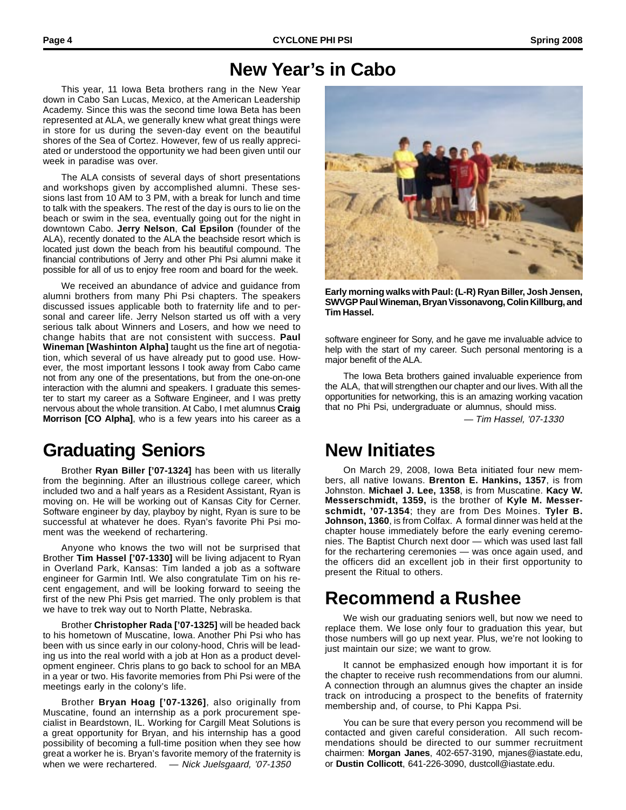# **New Year's in Cabo**

This year, 11 Iowa Beta brothers rang in the New Year down in Cabo San Lucas, Mexico, at the American Leadership Academy. Since this was the second time Iowa Beta has been represented at ALA, we generally knew what great things were in store for us during the seven-day event on the beautiful shores of the Sea of Cortez. However, few of us really appreciated or understood the opportunity we had been given until our week in paradise was over.

The ALA consists of several days of short presentations and workshops given by accomplished alumni. These sessions last from 10 AM to 3 PM, with a break for lunch and time to talk with the speakers. The rest of the day is ours to lie on the beach or swim in the sea, eventually going out for the night in downtown Cabo. **Jerry Nelson**, **Cal Epsilon** (founder of the ALA), recently donated to the ALA the beachside resort which is located just down the beach from his beautiful compound. The financial contributions of Jerry and other Phi Psi alumni make it possible for all of us to enjoy free room and board for the week.

We received an abundance of advice and guidance from alumni brothers from many Phi Psi chapters. The speakers discussed issues applicable both to fraternity life and to personal and career life. Jerry Nelson started us off with a very serious talk about Winners and Losers, and how we need to change habits that are not consistent with success. **Paul Wineman [Washinton Alpha]** taught us the fine art of negotiation, which several of us have already put to good use. However, the most important lessons I took away from Cabo came not from any one of the presentations, but from the one-on-one interaction with the alumni and speakers. I graduate this semester to start my career as a Software Engineer, and I was pretty nervous about the whole transition. At Cabo, I met alumnus **Craig Morrison [CO Alpha]**, who is a few years into his career as a

# **Graduating Seniors**

Brother **Ryan Biller ['07-1324]** has been with us literally from the beginning. After an illustrious college career, which included two and a half years as a Resident Assistant, Ryan is moving on. He will be working out of Kansas City for Cerner. Software engineer by day, playboy by night, Ryan is sure to be successful at whatever he does. Ryan's favorite Phi Psi moment was the weekend of rechartering.

Anyone who knows the two will not be surprised that Brother **Tim Hassel ['07-1330]** will be living adjacent to Ryan in Overland Park, Kansas: Tim landed a job as a software engineer for Garmin Intl. We also congratulate Tim on his recent engagement, and will be looking forward to seeing the first of the new Phi Psis get married. The only problem is that we have to trek way out to North Platte, Nebraska.

Brother **Christopher Rada ['07-1325]** will be headed back to his hometown of Muscatine, Iowa. Another Phi Psi who has been with us since early in our colony-hood, Chris will be leading us into the real world with a job at Hon as a product development engineer. Chris plans to go back to school for an MBA in a year or two. His favorite memories from Phi Psi were of the meetings early in the colony's life.

Brother **Bryan Hoag ['07-1326]**, also originally from Muscatine, found an internship as a pork procurement specialist in Beardstown, IL. Working for Cargill Meat Solutions is a great opportunity for Bryan, and his internship has a good possibility of becoming a full-time position when they see how great a worker he is. Bryan's favorite memory of the fraternity is when we were rechartered. - Nick Juelsgaard, '07-1350



**Early morning walks with Paul: (L-R) Ryan Biller, Josh Jensen, SWVGP Paul Wineman, Bryan Vissonavong, Colin Killburg, and Tim Hassel.**

software engineer for Sony, and he gave me invaluable advice to help with the start of my career. Such personal mentoring is a major benefit of the ALA.

The Iowa Beta brothers gained invaluable experience from the ALA, that will strengthen our chapter and our lives. With all the opportunities for networking, this is an amazing working vacation that no Phi Psi, undergraduate or alumnus, should miss.

— Tim Hassel, '07-1330

## **New Initiates**

On March 29, 2008, Iowa Beta initiated four new members, all native Iowans. **Brenton E. Hankins, 1357**, is from Johnston. **Michael J. Lee, 1358**, is from Muscatine. **Kacy W. Messerschmidt, 1359,** is the brother of **Kyle M. Messerschmidt, '07-1354**; they are from Des Moines. **Tyler B. Johnson, 1360**, is from Colfax. A formal dinner was held at the chapter house immediately before the early evening ceremonies. The Baptist Church next door — which was used last fall for the rechartering ceremonies — was once again used, and the officers did an excellent job in their first opportunity to present the Ritual to others.

## **Recommend a Rushee**

We wish our graduating seniors well, but now we need to replace them. We lose only four to graduation this year, but those numbers will go up next year. Plus, we're not looking to just maintain our size; we want to grow.

It cannot be emphasized enough how important it is for the chapter to receive rush recommendations from our alumni. A connection through an alumnus gives the chapter an inside track on introducing a prospect to the benefits of fraternity membership and, of course, to Phi Kappa Psi.

You can be sure that every person you recommend will be contacted and given careful consideration. All such recommendations should be directed to our summer recruitment chairmen: **Morgan Janes**, 402-657-3190, mjanes@iastate.edu, or **Dustin Collicott**, 641-226-3090, dustcoll@iastate.edu.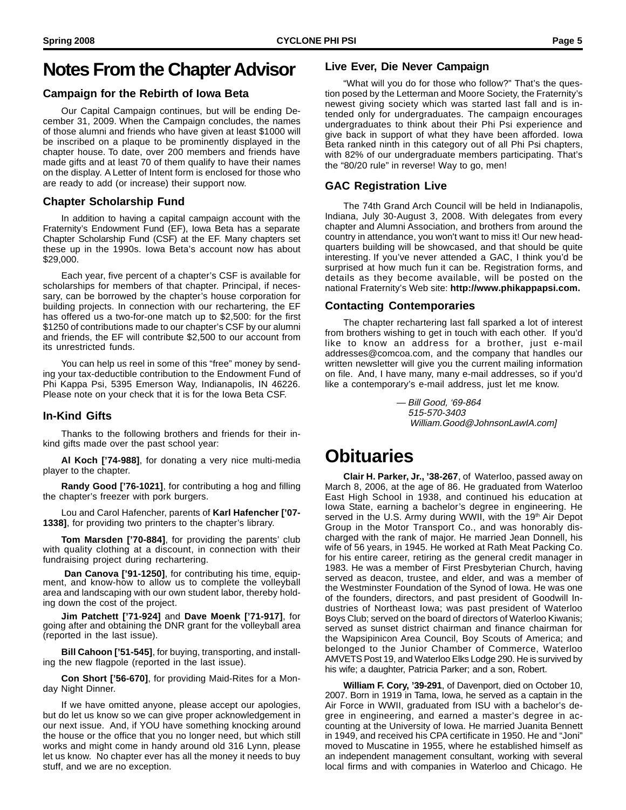#### **Notes From the Chapter Advisor**

#### **Campaign for the Rebirth of Iowa Beta**

Our Capital Campaign continues, but will be ending December 31, 2009. When the Campaign concludes, the names of those alumni and friends who have given at least \$1000 will be inscribed on a plaque to be prominently displayed in the chapter house. To date, over 200 members and friends have made gifts and at least 70 of them qualify to have their names on the display. A Letter of Intent form is enclosed for those who are ready to add (or increase) their support now.

#### **Chapter Scholarship Fund**

In addition to having a capital campaign account with the Fraternity's Endowment Fund (EF), Iowa Beta has a separate Chapter Scholarship Fund (CSF) at the EF. Many chapters set these up in the 1990s. Iowa Beta's account now has about \$29,000.

Each year, five percent of a chapter's CSF is available for scholarships for members of that chapter. Principal, if necessary, can be borrowed by the chapter's house corporation for building projects. In connection with our rechartering, the EF has offered us a two-for-one match up to \$2,500: for the first \$1250 of contributions made to our chapter's CSF by our alumni and friends, the EF will contribute \$2,500 to our account from its unrestricted funds.

You can help us reel in some of this "free" money by sending your tax-deductible contribution to the Endowment Fund of Phi Kappa Psi, 5395 Emerson Way, Indianapolis, IN 46226. Please note on your check that it is for the Iowa Beta CSF.

#### **In-Kind Gifts**

Thanks to the following brothers and friends for their inkind gifts made over the past school year:

**Al Koch ['74-988]**, for donating a very nice multi-media player to the chapter.

**Randy Good ['76-1021]**, for contributing a hog and filling the chapter's freezer with pork burgers.

Lou and Carol Hafencher, parents of **Karl Hafencher ['07- 1338]**, for providing two printers to the chapter's library.

**Tom Marsden ['70-884]**, for providing the parents' club with quality clothing at a discount, in connection with their fundraising project during rechartering.

 **Dan Canova ['91-1250]**, for contributing his time, equipment, and know-how to allow us to complete the volleyball area and landscaping with our own student labor, thereby holding down the cost of the project.

**Jim Patchett ['71-924]** and **Dave Moenk ['71-917]**, for going after and obtaining the DNR grant for the volleyball area (reported in the last issue).

**Bill Cahoon ['51-545]**, for buying, transporting, and installing the new flagpole (reported in the last issue).

**Con Short ['56-670]**, for providing Maid-Rites for a Monday Night Dinner.

If we have omitted anyone, please accept our apologies, but do let us know so we can give proper acknowledgement in our next issue. And, if YOU have something knocking around the house or the office that you no longer need, but which still works and might come in handy around old 316 Lynn, please let us know. No chapter ever has all the money it needs to buy stuff, and we are no exception.

#### **Live Ever, Die Never Campaign**

"What will you do for those who follow?" That's the question posed by the Letterman and Moore Society, the Fraternity's newest giving society which was started last fall and is intended only for undergraduates. The campaign encourages undergraduates to think about their Phi Psi experience and give back in support of what they have been afforded. Iowa Beta ranked ninth in this category out of all Phi Psi chapters, with 82% of our undergraduate members participating. That's the "80/20 rule" in reverse! Way to go, men!

#### **GAC Registration Live**

The 74th Grand Arch Council will be held in Indianapolis, Indiana, July 30-August 3, 2008. With delegates from every chapter and Alumni Association, and brothers from around the country in attendance, you won't want to miss it! Our new headquarters building will be showcased, and that should be quite interesting. If you've never attended a GAC, I think you'd be surprised at how much fun it can be. Registration forms, and details as they become available, will be posted on the national Fraternity's Web site: **http://www.phikappapsi.com.**

#### **Contacting Contemporaries**

The chapter rechartering last fall sparked a lot of interest from brothers wishing to get in touch with each other. If you'd like to know an address for a brother, just e-mail addresses@comcoa.com, and the company that handles our written newsletter will give you the current mailing information on file. And, I have many, many e-mail addresses, so if you'd like a contemporary's e-mail address, just let me know.

> — Bill Good, '69-864 515-570-3403 William.Good@JohnsonLawIA.com]

#### **Obituaries**

**Clair H. Parker, Jr., '38-267**, of Waterloo, passed away on March 8, 2006, at the age of 86. He graduated from Waterloo East High School in 1938, and continued his education at Iowa State, earning a bachelor's degree in engineering. He served in the U.S. Army during WWII, with the 19<sup>th</sup> Air Depot Group in the Motor Transport Co., and was honorably discharged with the rank of major. He married Jean Donnell, his wife of 56 years, in 1945. He worked at Rath Meat Packing Co. for his entire career, retiring as the general credit manager in 1983. He was a member of First Presbyterian Church, having served as deacon, trustee, and elder, and was a member of the Westminster Foundation of the Synod of Iowa. He was one of the founders, directors, and past president of Goodwill Industries of Northeast Iowa; was past president of Waterloo Boys Club; served on the board of directors of Waterloo Kiwanis; served as sunset district chairman and finance chairman for the Wapsipinicon Area Council, Boy Scouts of America; and belonged to the Junior Chamber of Commerce, Waterloo AMVETS Post 19, and Waterloo Elks Lodge 290. He is survived by his wife; a daughter, Patricia Parker; and a son, Robert.

**William F. Cory, '39-291**, of Davenport, died on October 10, 2007. Born in 1919 in Tama, Iowa, he served as a captain in the Air Force in WWII, graduated from ISU with a bachelor's degree in engineering, and earned a master's degree in accounting at the University of Iowa. He married Juanita Bennett in 1949, and received his CPA certificate in 1950. He and "Joni" moved to Muscatine in 1955, where he established himself as an independent management consultant, working with several local firms and with companies in Waterloo and Chicago. He